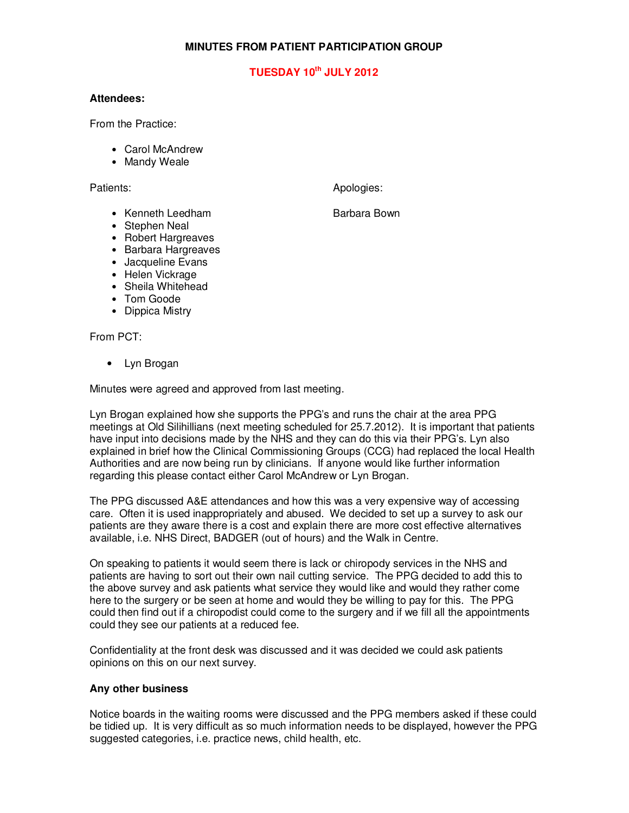### **MINUTES FROM PATIENT PARTICIPATION GROUP**

## **TUESDAY 10th JULY 2012**

#### **Attendees:**

From the Practice:

- Carol McAndrew
- Mandy Weale

Patients: Apologies: Apologies: Apologies: Apologies: Apologies: Apologies: Apologies: Apologies: Apologies: Apologies: Apologies: Apologies: Apologies: Apologies: Apologies: Apologies: Apologies: Apologies: Apologies: Apo

### • Kenneth Leedham Barbara Bown

- Stephen Neal
- Robert Hargreaves
- Barbara Hargreaves
- Jacqueline Evans
- Helen Vickrage
- Sheila Whitehead
- Tom Goode
- Dippica Mistry

From PCT:

• Lyn Brogan

Minutes were agreed and approved from last meeting.

Lyn Brogan explained how she supports the PPG's and runs the chair at the area PPG meetings at Old Silihillians (next meeting scheduled for 25.7.2012). It is important that patients have input into decisions made by the NHS and they can do this via their PPG's. Lyn also explained in brief how the Clinical Commissioning Groups (CCG) had replaced the local Health Authorities and are now being run by clinicians. If anyone would like further information regarding this please contact either Carol McAndrew or Lyn Brogan.

The PPG discussed A&E attendances and how this was a very expensive way of accessing care. Often it is used inappropriately and abused. We decided to set up a survey to ask our patients are they aware there is a cost and explain there are more cost effective alternatives available, i.e. NHS Direct, BADGER (out of hours) and the Walk in Centre.

On speaking to patients it would seem there is lack or chiropody services in the NHS and patients are having to sort out their own nail cutting service. The PPG decided to add this to the above survey and ask patients what service they would like and would they rather come here to the surgery or be seen at home and would they be willing to pay for this. The PPG could then find out if a chiropodist could come to the surgery and if we fill all the appointments could they see our patients at a reduced fee.

Confidentiality at the front desk was discussed and it was decided we could ask patients opinions on this on our next survey.

#### **Any other business**

Notice boards in the waiting rooms were discussed and the PPG members asked if these could be tidied up. It is very difficult as so much information needs to be displayed, however the PPG suggested categories, i.e. practice news, child health, etc.